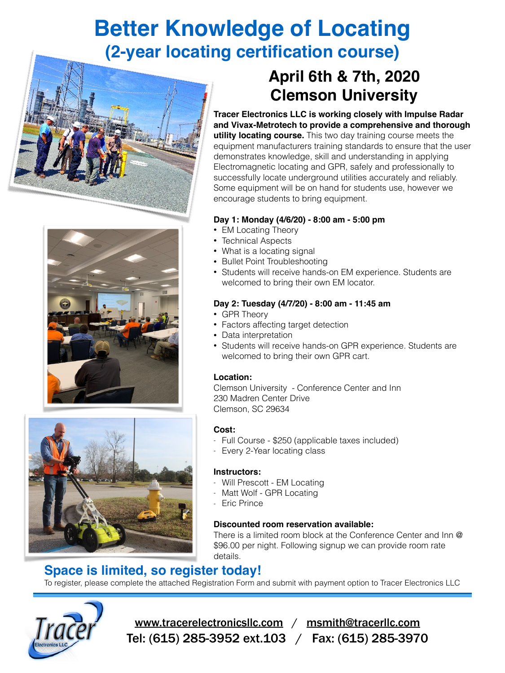## **Better Knowledge of Locating (2-year locating certification course)**







## **April 6th & 7th, 2020 Clemson University**

**Tracer Electronics LLC is working closely with Impulse Radar and Vivax-Metrotech to provide a comprehensive and thorough utility locating course.** This two day training course meets the equipment manufacturers training standards to ensure that the user demonstrates knowledge, skill and understanding in applying Electromagnetic locating and GPR, safely and professionally to successfully locate underground utilities accurately and reliably. Some equipment will be on hand for students use, however we encourage students to bring equipment.

### **Day 1: Monday (4/6/20) - 8:00 am - 5:00 pm**

- EM Locating Theory
- Technical Aspects
- What is a locating signal
- Bullet Point Troubleshooting
- Students will receive hands-on EM experience. Students are welcomed to bring their own EM locator.

### **Day 2: Tuesday (4/7/20) - 8:00 am - 11:45 am**

- GPR Theory
- Factors affecting target detection
- Data interpretation
- Students will receive hands-on GPR experience. Students are welcomed to bring their own GPR cart.

### **Location:**

Clemson University - Conference Center and Inn 230 Madren Center Drive Clemson, SC 29634

### **Cost:**

- Full Course \$250 (applicable taxes included)
- Every 2-Year locating class

### **Instructors:**

- Will Prescott EM Locating
- Matt Wolf GPR Locating
- Eric Prince

### **Discounted room reservation available:**

There is a limited room block at the Conference Center and Inn @ \$96.00 per night. Following signup we can provide room rate details.

### **Space is limited, so register today!**

To register, please complete the attached Registration Form and submit with payment option to Tracer Electronics LLC



[www.tracerelectronicsllc.com](http://www.tracerelectronicsllc.com) / [msmith@tracerllc.com](mailto:msmith@tracerllc.com) Tel: (615) 285-3952 ext.103 / Fax: (615) 285-3970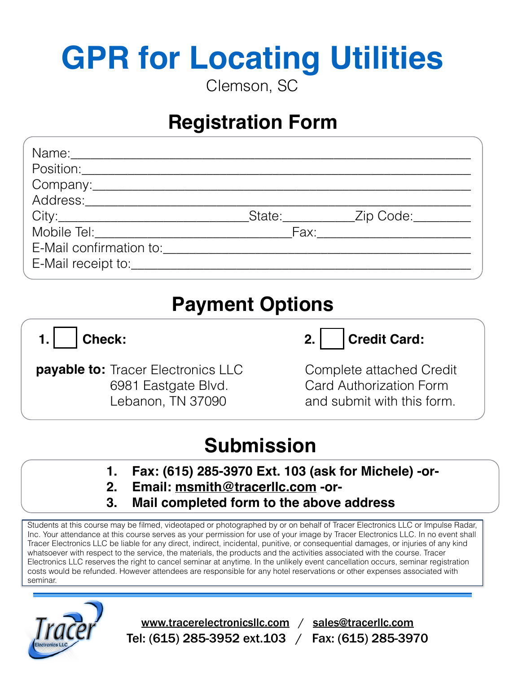# **GPR for Locating Utilities** Clemson, SC

## **Registration Form**

| Address:__________________ |  |                                        |  |
|----------------------------|--|----------------------------------------|--|
|                            |  | _State:_____________Zip Code:_________ |  |
|                            |  |                                        |  |
| E-Mail confirmation to:    |  |                                        |  |
|                            |  |                                        |  |
|                            |  |                                        |  |

## **Payment Options**

**1. Check:**

**payable to:** Tracer Electronics LLC 6981 Eastgate Blvd. Lebanon, TN 37090

## 2. Credit Card:

Complete attached Credit Card Authorization Form and submit with this form.

## **Submission**

- **1. Fax: (615) 285-3970 Ext. 103 (ask for Michele) -or-**
- **2. Email: [msmith@tracerllc.com](mailto:msmith@tracerllc.com) -or-**
- **3. Mail completed form to the above address**

Students at this course may be filmed, videotaped or photographed by or on behalf of Tracer Electronics LLC or Impulse Radar, Inc. Your attendance at this course serves as your permission for use of your image by Tracer Electronics LLC. In no event shall Tracer Electronics LLC be liable for any direct, indirect, incidental, punitive, or consequential damages, or injuries of any kind whatsoever with respect to the service, the materials, the products and the activities associated with the course. Tracer Electronics LLC reserves the right to cancel seminar at anytime. In the unlikely event cancellation occurs, seminar registration costs would be refunded. However attendees are responsible for any hotel reservations or other expenses associated with seminar.



[www.tracerelectronicsllc.com](http://www.tracerelectronicsllc.com) / [sales@tracerllc.com](mailto:sales@tracerllc.com) Tel: (615) 285-3952 ext.103 / Fax: (615) 285-3970